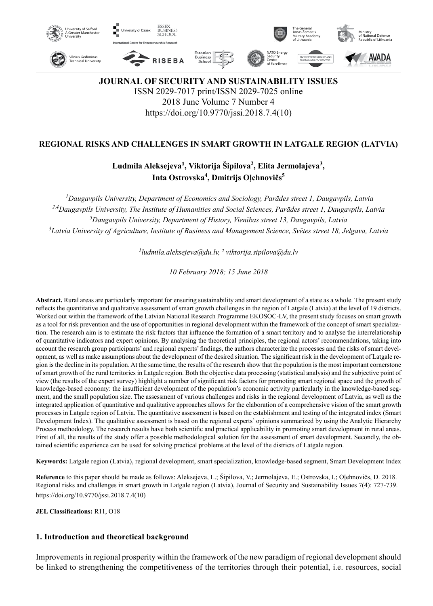

**JOURNAL OF SECURITY AND SUSTAINABILITY ISSUES** ISSN 2029-7017 print/ISSN 2029-7025 online 2018 June Volume 7 Number 4 https://doi.org/10.9770/jssi.2018.7.4(10)

## **REGIONAL RISKS AND CHALLENGES IN SMART GROWTH IN LATGALE REGION (LATVIA)**

# Ludmila Aleksejeva<sup>1</sup>, Viktorija Šipilova<sup>2</sup>, Elita Jermolajeva<sup>3</sup>, **Inta Ostrovska<sup>4</sup> , Dmitrijs Oļehnovičs<sup>5</sup>**

 *Daugavpils University, Department of Economics and Sociology, Parādes street 1, Daugavpils, Latvia 2,4Daugavpils University, The Institute of Humanities and Social Sciences, Parādes street 1, Daugavpils, Latvia Daugavpils University, Department of History, Vienības street 13, Daugavpils, Latvia Latvia University of Agriculture, Institute of Business and Management Science, Svētes street 18, Jelgava, Latvia*

*1 ludmila.aleksejeva@du.lv, 2 viktorija.sipilova@du.lv*

*10 February 2018; 15 June 2018*

**Abstract.** Rural areas are particularly important for ensuring sustainability and smart development of a state as a whole. The present study reflects the quantitative and qualitative assessment of smart growth challenges in the region of Latgale (Latvia) at the level of 19 districts. Worked out within the framework of the Latvian National Research Programme EKOSOC-LV, the present study focuses on smart growth as a tool for risk prevention and the use of opportunities in regional development within the framework of the concept of smart specialization. The research aim is to estimate the risk factors that influence the formation of a smart territory and to analyse the interrelationship of quantitative indicators and expert opinions. By analysing the theoretical principles, the regional actors' recommendations, taking into account the research group participants' and regional experts' findings, the authors characterize the processes and the risks of smart development, as well as make assumptions about the development of the desired situation. The significant risk in the development of Latgale region is the decline in its population. At the same time, the results of the research show that the population is the most important cornerstone of smart growth of the rural territories in Latgale region. Both the objective data processing (statistical analysis) and the subjective point of view (the results of the expert survey) highlight a number of significant risk factors for promoting smart regional space and the growth of knowledge-based economy: the insufficient development of the population's economic activity particularly in the knowledge-based segment, and the small population size. The assessment of various challenges and risks in the regional development of Latvia, as well as the integrated application of quantitative and qualitative approaches allows for the elaboration of a comprehensive vision of the smart growth processes in Latgale region of Latvia. The quantitative assessment is based on the establishment and testing of the integrated index (Smart Development Index). The qualitative assessment is based on the regional experts' opinions summarized by using the Analytic Hierarchy Process methodology. The research results have both scientific and practical applicability in promoting smart development in rural areas. First of all, the results of the study offer a possible methodological solution for the assessment of smart development. Secondly, the obtained scientific experience can be used for solving practical problems at the level of the districts of Latgale region.

**Keywords:** Latgale region (Latvia), regional development, smart specialization, knowledge-based segment, Smart Development Index

**Reference** to this paper should be made as follows: Aleksejeva, L.; Šipilova, V.; Jermolajeva, E.; Ostrovska, I.; Oļehnovičs, D. 2018. Regional risks and challenges in smart growth in Latgale region (Latvia), Journal of Security and Sustainability Issues 7(4): 727-739. https://doi.org/10.9770/jssi.2018.7.4(10)

**JEL Classifications:** R11, O18

### **1. Introduction and theoretical background**

Improvements in regional prosperity within the framework of the new paradigm of regional development should be linked to strengthening the competitiveness of the territories through their potential, i.e. resources, social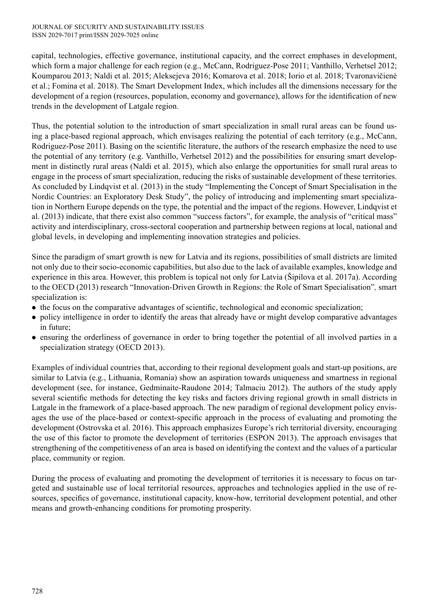#### JOURNAL OF SECURITY AND SUSTAINABILITY ISSUES ISSN 2029-7017 print/ISSN 2029-7025 online

capital, technologies, effective governance, institutional capacity, and the correct emphases in development, which form a major challenge for each region (e.g., McCann, Rodriguez-Pose 2011; Vanthillo, Verhetsel 2012; Koumparou 2013; Naldi et al. 2015; Aleksejeva 2016; Komarova et al. 2018; Iorio et al. 2018; Tvaronavičienė et al.; Fomina et al. 2018). The Smart Development Index, which includes all the dimensions necessary for the development of a region (resources, population, economy and governance), allows for the identification of new trends in the development of Latgale region.

Thus, the potential solution to the introduction of smart specialization in small rural areas can be found using a place-based regional approach, which envisages realizing the potential of each territory (e.g., McCann, Rodriguez-Pose 2011). Basing on the scientific literature, the authors of the research emphasize the need to use the potential of any territory (e.g. Vanthillo, Verhetsel 2012) and the possibilities for ensuring smart development in distinctly rural areas (Naldi et al. 2015), which also enlarge the opportunities for small rural areas to engage in the process of smart specialization, reducing the risks of sustainable development of these territories. As concluded by Lindqvist et al. (2013) in the study "Implementing the Concept of Smart Specialisation in the Nordic Countries: an Exploratory Desk Study", the policy of introducing and implementing smart specialization in Northern Europe depends on the type, the potential and the impact of the regions. However, Lindqvist et al. (2013) indicate, that there exist also common "success factors", for example, the analysis of "critical mass" activity and interdisciplinary, cross-sectoral cooperation and partnership between regions at local, national and global levels, in developing and implementing innovation strategies and policies.

Since the paradigm of smart growth is new for Latvia and its regions, possibilities of small districts are limited not only due to their socio-economic capabilities, but also due to the lack of available examples, knowledge and experience in this area. However, this problem is topical not only for Latvia (Šipilova et al. 2017a). According to the OECD (2013) research "Innovation-Driven Growth in Regions: the Role of Smart Specialisation"*,* smart specialization is:

- the focus on the comparative advantages of scientific, technological and economic specialization;
- policy intelligence in order to identify the areas that already have or might develop comparative advantages in future;
- ensuring the orderliness of governance in order to bring together the potential of all involved parties in a specialization strategy (OECD 2013).

Examples of individual countries that, according to their regional development goals and start-up positions, are similar to Latvia (e.g., Lithuania, Romania) show an aspiration towards uniqueness and smartness in regional development (see, for instance, Gedminaite-Raudone 2014; Talmaciu 2012). The authors of the study apply several scientific methods for detecting the key risks and factors driving regional growth in small districts in Latgale in the framework of a place-based approach. The new paradigm of regional development policy envisages the use of the place-based or context-specific approach in the process of evaluating and promoting the development (Ostrovska et al. 2016). This approach emphasizes Europe's rich territorial diversity, encouraging the use of this factor to promote the development of territories (ESPON 2013). The approach envisages that strengthening of the competitiveness of an area is based on identifying the context and the values of a particular place, community or region.

During the process of evaluating and promoting the development of territories it is necessary to focus on targeted and sustainable use of local territorial resources, approaches and technologies applied in the use of resources, specifics of governance, institutional capacity, know-how, territorial development potential, and other means and growth-enhancing conditions for promoting prosperity.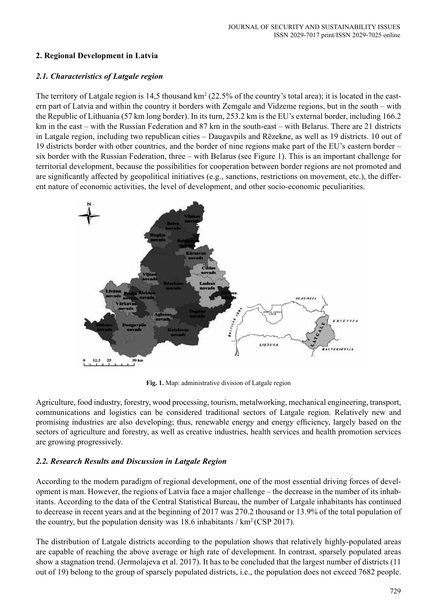# **2. Regional Development in Latvia**

# *2.1. Characteristics of Latgale region*

The territory of Latgale region is 14,5 thousand  $km^2$  (22.5% of the country's total area); it is located in the eastern part of Latvia and within the country it borders with Zemgale and Vidzeme regions, but in the south – with the Republic of Lithuania (57 km long border). In its turn, 253.2 km is the EU's external border, including 166.2 km in the east – with the Russian Federation and 87 km in the south-east – with Belarus. There are 21 districts in Latgale region, including two republican cities – Daugavpils and Rēzekne, as well as 19 districts. 10 out of 19 districts border with other countries, and the border of nine regions make part of the EU's eastern border – six border with the Russian Federation, three – with Belarus (see Figure 1). This is an important challenge for territorial development, because the possibilities for cooperation between border regions are not promoted and are significantly affected by geopolitical initiatives (e.g., sanctions, restrictions on movement, etc.), the different nature of economic activities, the level of development, and other socio-economic peculiarities.



**Fig. 1.** Map: administrative division of Latgale region

Agriculture, food industry, forestry, wood processing, tourism, metalworking, mechanical engineering, transport, communications and logistics can be considered traditional sectors of Latgale region. Relatively new and promising industries are also developing; thus, renewable energy and energy efficiency, largely based on the sectors of agriculture and forestry, as well as creative industries, health services and health promotion services are growing progressively.

# *2.2. Research Results and Discussion in Latgale Region*

According to the modern paradigm of regional development, one of the most essential driving forces of development is man. However, the regions of Latvia face a major challenge – the decrease in the number of its inhabitants. According to the data of the Central Statistical Bureau, the number of Latgale inhabitants has continued to decrease in recent years and at the beginning of 2017 was 270.2 thousand or 13.9% of the total population of the country, but the population density was  $18.6$  inhabitants / km<sup>2</sup> (CSP 2017).

The distribution of Latgale districts according to the population shows that relatively highly-populated areas are capable of reaching the above average or high rate of development. In contrast, sparsely populated areas show a stagnation trend. (Jermolajeva et al. 2017). It has to be concluded that the largest number of districts (11 out of 19) belong to the group of sparsely populated districts, i.e., the population does not exceed 7682 people.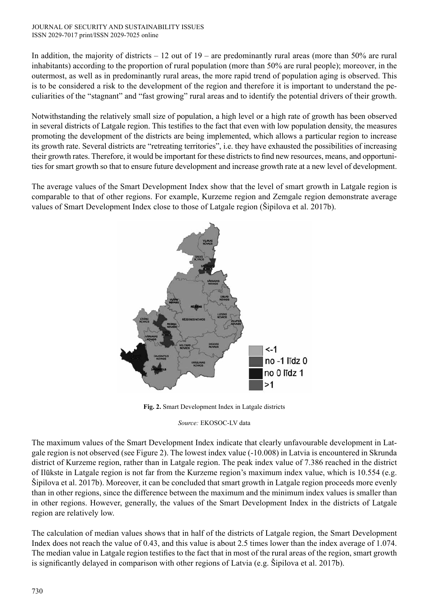#### JOURNAL OF SECURITY AND SUSTAINABILITY ISSUES ISSN 2029-7017 print/ISSN 2029-7025 online

In addition, the majority of districts – 12 out of 19 – are predominantly rural areas (more than 50% are rural inhabitants) according to the proportion of rural population (more than 50% are rural people); moreover, in the outermost, as well as in predominantly rural areas, the more rapid trend of population aging is observed. This is to be considered a risk to the development of the region and therefore it is important to understand the peculiarities of the "stagnant" and "fast growing" rural areas and to identify the potential drivers of their growth.

Notwithstanding the relatively small size of population, a high level or a high rate of growth has been observed in several districts of Latgale region. This testifies to the fact that even with low population density, the measures promoting the development of the districts are being implemented, which allows a particular region to increase its growth rate. Several districts are "retreating territories", i.e. they have exhausted the possibilities of increasing their growth rates. Therefore, it would be important for these districts to find new resources, means, and opportunities for smart growth so that to ensure future development and increase growth rate at a new level of development.

The average values of the Smart Development Index show that the level of smart growth in Latgale region is comparable to that of other regions. For example, Kurzeme region and Zemgale region demonstrate average values of Smart Development Index close to those of Latgale region (Šipilova et al. 2017b).



**Fig. 2.** Smart Development Index in Latgale districts

*Source:* EKOSOC-LV data

The maximum values of the Smart Development Index indicate that clearly unfavourable development in Latgale region is not observed (see Figure 2). The lowest index value (-10.008) in Latvia is encountered in Skrunda district of Kurzeme region, rather than in Latgale region. The peak index value of 7.386 reached in the district of Ilūkste in Latgale region is not far from the Kurzeme region's maximum index value, which is 10.554 (e.g. Šipilova et al. 2017b). Moreover, it can be concluded that smart growth in Latgale region proceeds more evenly than in other regions, since the difference between the maximum and the minimum index values is smaller than in other regions. However, generally, the values of the Smart Development Index in the districts of Latgale region are relatively low.

The calculation of median values shows that in half of the districts of Latgale region, the Smart Development Index does not reach the value of 0.43, and this value is about 2.5 times lower than the index average of 1.074. The median value in Latgale region testifies to the fact that in most of the rural areas of the region, smart growth is significantly delayed in comparison with other regions of Latvia (e.g. Šipilova et al. 2017b).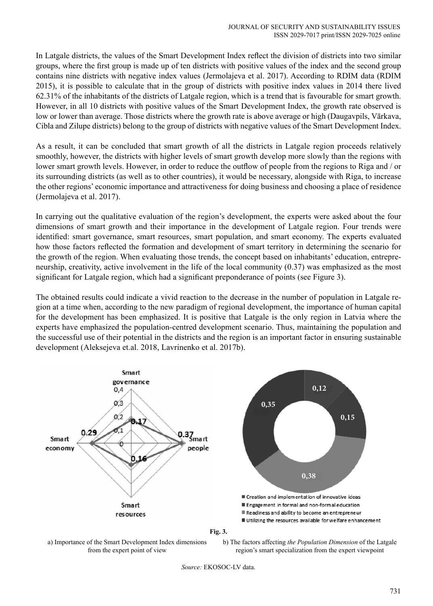In Latgale districts, the values of the Smart Development Index reflect the division of districts into two similar groups, where the first group is made up of ten districts with positive values of the index and the second group contains nine districts with negative index values (Jermolajeva et al. 2017). According to RDIM data (RDIM 2015), it is possible to calculate that in the group of districts with positive index values in 2014 there lived 62.31% of the inhabitants of the districts of Latgale region, which is a trend that is favourable for smart growth. However, in all 10 districts with positive values of the Smart Development Index, the growth rate observed is low or lower than average. Those districts where the growth rate is above average or high (Daugavpils, Vārkava, Cibla and Zilupe districts) belong to the group of districts with negative values of the Smart Development Index.

As a result, it can be concluded that smart growth of all the districts in Latgale region proceeds relatively smoothly, however, the districts with higher levels of smart growth develop more slowly than the regions with lower smart growth levels. However, in order to reduce the outflow of people from the regions to Riga and / or its surrounding districts (as well as to other countries), it would be necessary, alongside with Riga, to increase the other regions' economic importance and attractiveness for doing business and choosing a place of residence (Jermolajeva et al. 2017).

In carrying out the qualitative evaluation of the region's development, the experts were asked about the four dimensions of smart growth and their importance in the development of Latgale region. Four trends were identified: smart governance, smart resources, smart population, and smart economy. The experts evaluated how those factors reflected the formation and development of smart territory in determining the scenario for the growth of the region. When evaluating those trends, the concept based on inhabitants' education, entrepreneurship, creativity, active involvement in the life of the local community (0.37) was emphasized as the most significant for Latgale region, which had a significant preponderance of points (see Figure 3).

The obtained results could indicate a vivid reaction to the decrease in the number of population in Latgale region at a time when, according to the new paradigm of regional development, the importance of human capital for the development has been emphasized. It is positive that Latgale is the only region in Latvia where the experts have emphasized the population-centred development scenario. Thus, maintaining the population and the successful use of their potential in the districts and the region is an important factor in ensuring sustainable development (Aleksejeva et.al. 2018, Lavrinenko et al. 2017b).





b) The factors affecting *the Population Dimension* of the Latgale region's smart specialization from the expert viewpoint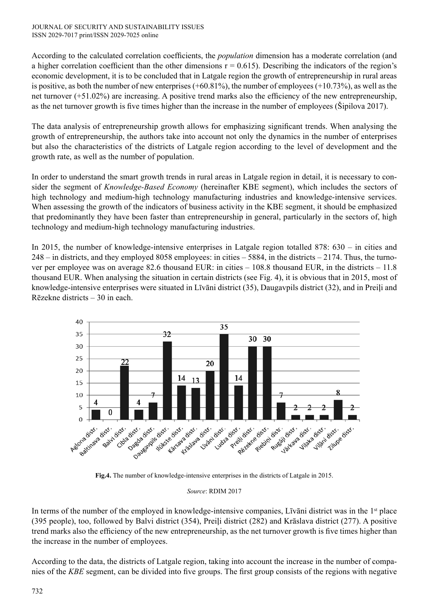According to the calculated correlation coefficients, the *population* dimension has a moderate correlation (and a higher correlation coefficient than the other dimensions  $r = 0.615$ ). Describing the indicators of the region's economic development, it is to be concluded that in Latgale region the growth of entrepreneurship in rural areas is positive, as both the number of new enterprises  $(+60.81\%)$ , the number of employees  $(+10.73\%)$ , as well as the net turnover (+51.02%) are increasing. A positive trend marks also the efficiency of the new entrepreneurship, as the net turnover growth is five times higher than the increase in the number of employees (Šipilova 2017).

The data analysis of entrepreneurship growth allows for emphasizing significant trends. When analysing the growth of entrepreneurship, the authors take into account not only the dynamics in the number of enterprises but also the characteristics of the districts of Latgale region according to the level of development and the growth rate, as well as the number of population.

In order to understand the smart growth trends in rural areas in Latgale region in detail, it is necessary to consider the segment of *Knowledge-Based Economy* (hereinafter KBE segment), which includes the sectors of high technology and medium-high technology manufacturing industries and knowledge-intensive services. When assessing the growth of the indicators of business activity in the KBE segment, it should be emphasized that predominantly they have been faster than entrepreneurship in general, particularly in the sectors of, high technology and medium-high technology manufacturing industries.

In 2015, the number of knowledge-intensive enterprises in Latgale region totalled 878: 630 – in cities and 248 – in districts, and they employed 8058 employees: in cities – 5884, in the districts – 2174. Thus, the turnover per employee was on average 82.6 thousand EUR: in cities – 108.8 thousand EUR, in the districts – 11.8 thousand EUR. When analysing the situation in certain districts (see Fig. 4), it is obvious that in 2015, most of knowledge-intensive enterprises were situated in Līvāni district (35), Daugavpils district (32), and in Preiļi and Rēzekne districts – 30 in each.



**Fig.4.** The number of knowledge-intensive enterprises in the districts of Latgale in 2015.

*Source*: RDIM 2017

In terms of the number of the employed in knowledge-intensive companies, Līvāni district was in the 1<sup>st</sup> place (395 people), too, followed by Balvi district (354), Preiļi district (282) and Krāslava district (277). A positive trend marks also the efficiency of the new entrepreneurship, as the net turnover growth is five times higher than the increase in the number of employees.

According to the data, the districts of Latgale region, taking into account the increase in the number of companies of the *KBE* segment, can be divided into five groups. The first group consists of the regions with negative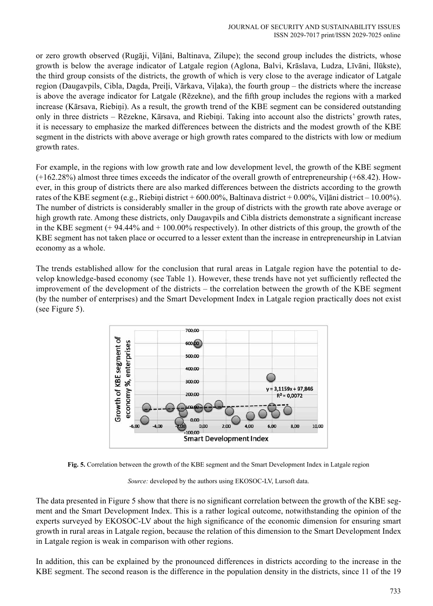or zero growth observed (Rugāji, Viļāni, Baltinava, Zilupe); the second group includes the districts, whose growth is below the average indicator of Latgale region (Aglona, Balvi, Krāslava, Ludza, Līvāni, Ilūkste), the third group consists of the districts, the growth of which is very close to the average indicator of Latgale region (Daugavpils, Cibla, Dagda, Preiļi, Vārkava, Viļaka), the fourth group – the districts where the increase is above the average indicator for Latgale (Rēzekne), and the fifth group includes the regions with a marked increase (Kārsava, Riebiņi). As a result, the growth trend of the KBE segment can be considered outstanding only in three districts – Rēzekne, Kārsava, and Riebiņi. Taking into account also the districts' growth rates, it is necessary to emphasize the marked differences between the districts and the modest growth of the KBE segment in the districts with above average or high growth rates compared to the districts with low or medium growth rates.

For example, in the regions with low growth rate and low development level, the growth of the KBE segment (+162.28%) almost three times exceeds the indicator of the overall growth of entrepreneurship (+68.42). However, in this group of districts there are also marked differences between the districts according to the growth rates of the KBE segment (e.g., Riebiņi district + 600.00%, Baltinava district + 0.00%, Viļāni district – 10.00%). The number of districts is considerably smaller in the group of districts with the growth rate above average or high growth rate. Among these districts, only Daugavpils and Cibla districts demonstrate a significant increase in the KBE segment (+ 94.44% and + 100.00% respectively). In other districts of this group, the growth of the KBE segment has not taken place or occurred to a lesser extent than the increase in entrepreneurship in Latvian economy as a whole.

The trends established allow for the conclusion that rural areas in Latgale region have the potential to develop knowledge-based economy (see Table 1). However, these trends have not yet sufficiently reflected the improvement of the development of the districts – the correlation between the growth of the KBE segment (by the number of enterprises) and the Smart Development Index in Latgale region practically does not exist (see Figure 5).



**Fig. 5.** Correlation between the growth of the KBE segment and the Smart Development Index in Latgale region

*Source:* developed by the authors using EKOSOC-LV, Lursoft data.

The data presented in Figure 5 show that there is no significant correlation between the growth of the KBE segment and the Smart Development Index. This is a rather logical outcome, notwithstanding the opinion of the experts surveyed by EKOSOC-LV about the high significance of the economic dimension for ensuring smart growth in rural areas in Latgale region, because the relation of this dimension to the Smart Development Index in Latgale region is weak in comparison with other regions.

In addition, this can be explained by the pronounced differences in districts according to the increase in the KBE segment. The second reason is the difference in the population density in the districts, since 11 of the 19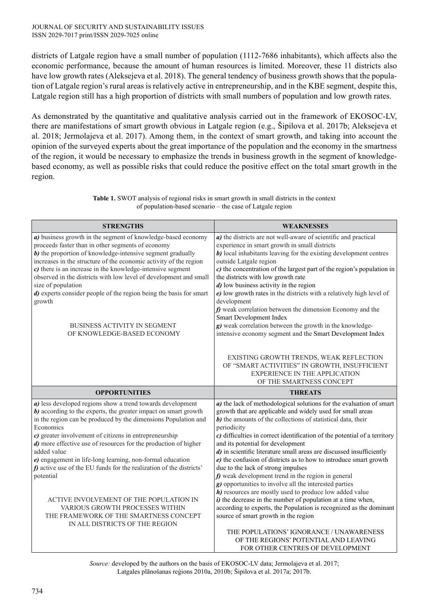districts of Latgale region have a small number of population (1112-7686 inhabitants), which affects also the economic performance, because the amount of human resources is limited. Moreover, these 11 districts also have low growth rates (Aleksejeva et al. 2018). The general tendency of business growth shows that the population of Latgale region's rural areas is relatively active in entrepreneurship, and in the KBE segment, despite this, Latgale region still has a high proportion of districts with small numbers of population and low growth rates.

As demonstrated by the quantitative and qualitative analysis carried out in the framework of EKOSOC-LV, there are manifestations of smart growth obvious in Latgale region (e.g., Šipilova et al. 2017b; Aleksejeva et al. 2018; Jermolajeva et al. 2017). Among them, in the context of smart growth, and taking into account the opinion of the surveyed experts about the great importance of the population and the economy in the smartness of the region, it would be necessary to emphasize the trends in business growth in the segment of knowledgebased economy, as well as possible risks that could reduce the positive effect on the total smart growth in the region.

| <b>STRENGTHS</b>                                                                                                            | <b>WEAKNESSES</b>                                                                                                                                                                                                                       |
|-----------------------------------------------------------------------------------------------------------------------------|-----------------------------------------------------------------------------------------------------------------------------------------------------------------------------------------------------------------------------------------|
| a) business growth in the segment of knowledge-based economy                                                                | a) the districts are not well-aware of scientific and practical                                                                                                                                                                         |
| proceeds faster than in other segments of economy                                                                           | experience in smart growth in small districts                                                                                                                                                                                           |
| b) the proportion of knowledge-intensive segment gradually                                                                  | b) local inhabitants leaving for the existing development centres                                                                                                                                                                       |
| increases in the structure of the economic activity of the region                                                           | outside Latgale region                                                                                                                                                                                                                  |
| $c)$ there is an increase in the knowledge-intensive segment                                                                | c) the concentration of the largest part of the region's population in                                                                                                                                                                  |
| observed in the districts with low level of development and small                                                           | the districts with low growth rate                                                                                                                                                                                                      |
| size of population                                                                                                          | $d$ ) low business activity in the region                                                                                                                                                                                               |
| d) experts consider people of the region being the basis for smart                                                          | $e$ ) low growth rates in the districts with a relatively high level of                                                                                                                                                                 |
| growth                                                                                                                      | development                                                                                                                                                                                                                             |
|                                                                                                                             | $f$ ) weak correlation between the dimension Economy and the<br>Smart Development Index                                                                                                                                                 |
| <b>BUSINESS ACTIVITY IN SEGMENT</b>                                                                                         | g) weak correlation between the growth in the knowledge-                                                                                                                                                                                |
| OF KNOWLEDGE-BASED ECONOMY                                                                                                  | intensive economy segment and the Smart Development Index                                                                                                                                                                               |
|                                                                                                                             | EXISTING GROWTH TRENDS, WEAK REFLECTION<br>OF "SMART ACTIVITIES" IN GROWTH, INSUFFICIENT<br><b>EXPERIENCE IN THE APPLICATION</b><br>OF THE SMARTNESS CONCEPT                                                                            |
|                                                                                                                             |                                                                                                                                                                                                                                         |
| <b>OPPORTUNITIES</b>                                                                                                        | <b>THREATS</b>                                                                                                                                                                                                                          |
| a) less developed regions show a trend towards development                                                                  | a) the lack of methodological solutions for the evaluation of smart                                                                                                                                                                     |
| b) according to the experts, the greater impact on smart growth                                                             | growth that are applicable and widely used for small areas                                                                                                                                                                              |
| in the region can be produced by the dimensions Population and                                                              | b) the amounts of the collections of statistical data, their                                                                                                                                                                            |
| Economics                                                                                                                   | periodicity                                                                                                                                                                                                                             |
| c) greater involvement of citizens in entrepreneurship                                                                      | c) difficulties in correct identification of the potential of a territory                                                                                                                                                               |
| d) more effective use of resources for the production of higher                                                             | and its potential for development                                                                                                                                                                                                       |
| added value                                                                                                                 | d) in scientific literature small areas are discussed insufficiently                                                                                                                                                                    |
| $e$ ) engagement in life-long learning, non-formal education                                                                | $e$ ) the confusion of districts as to how to introduce smart growth                                                                                                                                                                    |
| $f$ ) active use of the EU funds for the realization of the districts'                                                      | due to the lack of strong impulses                                                                                                                                                                                                      |
| potential                                                                                                                   | $f$ ) weak development trend in the region in general<br>g) opportunities to involve all the interested parties                                                                                                                         |
| ACTIVE INVOLVEMENT OF THE POPULATION IN<br><b>VARIOUS GROWTH PROCESSES WITHIN</b><br>THE FRAMEWORK OF THE SMARTNESS CONCEPT | h) resources are mostly used to produce low added value<br>$i$ ) the decrease in the number of population at a time when,<br>according to experts, the Population is recognized as the dominant<br>source of smart growth in the region |

**Table 1.** SWOT analysis of regional risks in smart growth in small districts in the context of population-based scenario – the case of Latgale region

*Source:* developed by the authors on the basis of EKOSOC-LV data; Jermolajeva et al. 2017; Latgales plānošanas reģions 2010a, 2010b; Šipilova et al. 2017a; 2017b.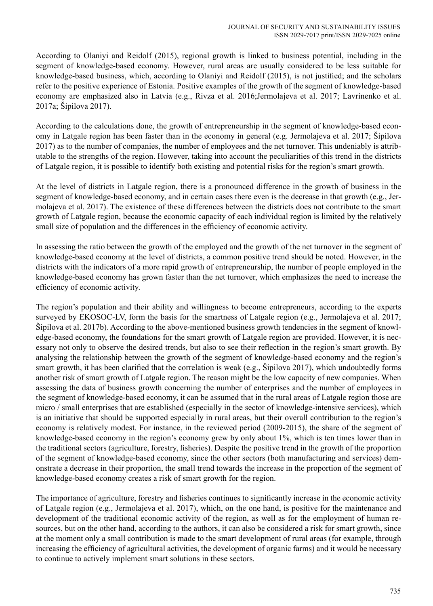According to Olaniyi and Reidolf (2015), regional growth is linked to business potential, including in the segment of knowledge-based economy. However, rural areas are usually considered to be less suitable for knowledge-based business, which, according to Olaniyi and Reidolf (2015), is not justified; and the scholars refer to the positive experience of Estonia. Positive examples of the growth of the segment of knowledge-based economy are emphasized also in Latvia (e.g., Rivza et al. 2016;Jermolajeva et al. 2017; Lavrinenko et al. 2017a; Šipilova 2017).

According to the calculations done, the growth of entrepreneurship in the segment of knowledge-based economy in Latgale region has been faster than in the economy in general (e.g. Jermolajeva et al. 2017; Šipilova 2017) as to the number of companies, the number of employees and the net turnover. This undeniably is attributable to the strengths of the region. However, taking into account the peculiarities of this trend in the districts of Latgale region, it is possible to identify both existing and potential risks for the region's smart growth.

At the level of districts in Latgale region, there is a pronounced difference in the growth of business in the segment of knowledge-based economy, and in certain cases there even is the decrease in that growth (e.g., Jermolajeva et al. 2017). The existence of these differences between the districts does not contribute to the smart growth of Latgale region, because the economic capacity of each individual region is limited by the relatively small size of population and the differences in the efficiency of economic activity.

In assessing the ratio between the growth of the employed and the growth of the net turnover in the segment of knowledge-based economy at the level of districts, a common positive trend should be noted. However, in the districts with the indicators of a more rapid growth of entrepreneurship, the number of people employed in the knowledge-based economy has grown faster than the net turnover, which emphasizes the need to increase the efficiency of economic activity.

The region's population and their ability and willingness to become entrepreneurs, according to the experts surveyed by EKOSOC-LV, form the basis for the smartness of Latgale region (e.g., Jermolajeva et al. 2017; Šipilova et al. 2017b). According to the above-mentioned business growth tendencies in the segment of knowledge-based economy, the foundations for the smart growth of Latgale region are provided. However, it is necessary not only to observe the desired trends, but also to see their reflection in the region's smart growth. By analysing the relationship between the growth of the segment of knowledge-based economy and the region's smart growth, it has been clarified that the correlation is weak (e.g., Šipilova 2017), which undoubtedly forms another risk of smart growth of Latgale region. The reason might be the low capacity of new companies. When assessing the data of business growth concerning the number of enterprises and the number of employees in the segment of knowledge-based economy, it can be assumed that in the rural areas of Latgale region those are micro / small enterprises that are established (especially in the sector of knowledge-intensive services), which is an initiative that should be supported especially in rural areas, but their overall contribution to the region's economy is relatively modest. For instance, in the reviewed period (2009-2015), the share of the segment of knowledge-based economy in the region's economy grew by only about 1%, which is ten times lower than in the traditional sectors (agriculture, forestry, fisheries). Despite the positive trend in the growth of the proportion of the segment of knowledge-based economy, since the other sectors (both manufacturing and services) demonstrate a decrease in their proportion, the small trend towards the increase in the proportion of the segment of knowledge-based economy creates a risk of smart growth for the region.

The importance of agriculture, forestry and fisheries continues to significantly increase in the economic activity of Latgale region (e.g., Jermolajeva et al. 2017), which, on the one hand, is positive for the maintenance and development of the traditional economic activity of the region, as well as for the employment of human resources, but on the other hand, according to the authors, it can also be considered a risk for smart growth, since at the moment only a small contribution is made to the smart development of rural areas (for example, through increasing the efficiency of agricultural activities, the development of organic farms) and it would be necessary to continue to actively implement smart solutions in these sectors.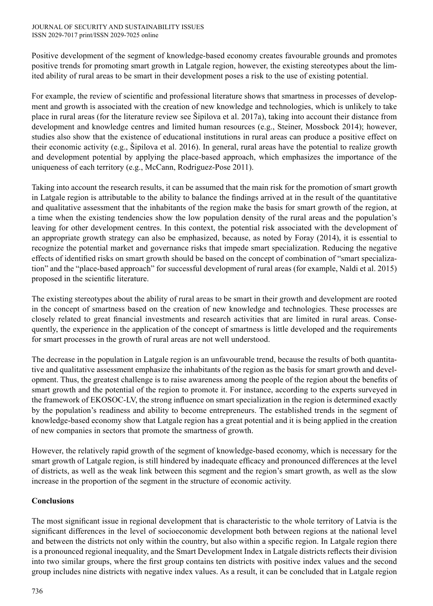Positive development of the segment of knowledge-based economy creates favourable grounds and promotes positive trends for promoting smart growth in Latgale region, however, the existing stereotypes about the limited ability of rural areas to be smart in their development poses a risk to the use of existing potential.

For example, the review of scientific and professional literature shows that smartness in processes of development and growth is associated with the creation of new knowledge and technologies, which is unlikely to take place in rural areas (for the literature review see Šipilova et al. 2017a), taking into account their distance from development and knowledge centres and limited human resources (e.g., Steiner, Mossbock 2014); however, studies also show that the existence of educational institutions in rural areas can produce a positive effect on their economic activity (e.g., Šipilova et al. 2016). In general, rural areas have the potential to realize growth and development potential by applying the place-based approach, which emphasizes the importance of the uniqueness of each territory (e.g., McCann, Rodriguez-Pose 2011).

Taking into account the research results, it can be assumed that the main risk for the promotion of smart growth in Latgale region is attributable to the ability to balance the findings arrived at in the result of the quantitative and qualitative assessment that the inhabitants of the region make the basis for smart growth of the region, at a time when the existing tendencies show the low population density of the rural areas and the population's leaving for other development centres. In this context, the potential risk associated with the development of an appropriate growth strategy can also be emphasized, because, as noted by Foray (2014), it is essential to recognize the potential market and governance risks that impede smart specialization. Reducing the negative effects of identified risks on smart growth should be based on the concept of combination of "smart specialization" and the "place-based approach" for successful development of rural areas (for example, Naldi et al. 2015) proposed in the scientific literature.

The existing stereotypes about the ability of rural areas to be smart in their growth and development are rooted in the concept of smartness based on the creation of new knowledge and technologies. These processes are closely related to great financial investments and research activities that are limited in rural areas. Consequently, the experience in the application of the concept of smartness is little developed and the requirements for smart processes in the growth of rural areas are not well understood.

The decrease in the population in Latgale region is an unfavourable trend, because the results of both quantitative and qualitative assessment emphasize the inhabitants of the region as the basis for smart growth and development. Thus, the greatest challenge is to raise awareness among the people of the region about the benefits of smart growth and the potential of the region to promote it. For instance, according to the experts surveyed in the framework of EKOSOC-LV, the strong influence on smart specialization in the region is determined exactly by the population's readiness and ability to become entrepreneurs. The established trends in the segment of knowledge-based economy show that Latgale region has a great potential and it is being applied in the creation of new companies in sectors that promote the smartness of growth.

However, the relatively rapid growth of the segment of knowledge-based economy, which is necessary for the smart growth of Latgale region, is still hindered by inadequate efficacy and pronounced differences at the level of districts, as well as the weak link between this segment and the region's smart growth, as well as the slow increase in the proportion of the segment in the structure of economic activity.

# **Conclusions**

The most significant issue in regional development that is characteristic to the whole territory of Latvia is the significant differences in the level of socioeconomic development both between regions at the national level and between the districts not only within the country, but also within a specific region. In Latgale region there is a pronounced regional inequality, and the Smart Development Index in Latgale districts reflects their division into two similar groups, where the first group contains ten districts with positive index values and the second group includes nine districts with negative index values. As a result, it can be concluded that in Latgale region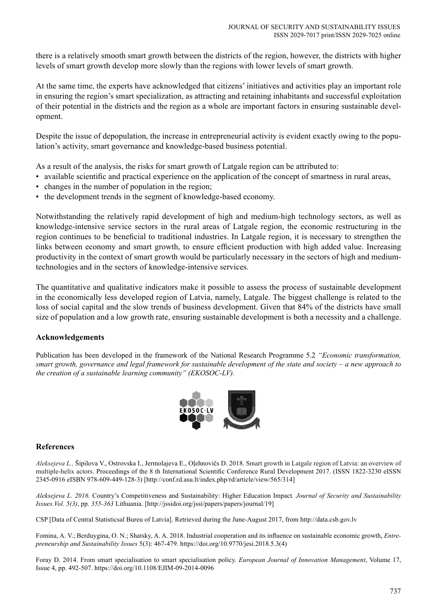there is a relatively smooth smart growth between the districts of the region, however, the districts with higher levels of smart growth develop more slowly than the regions with lower levels of smart growth.

At the same time, the experts have acknowledged that citizens' initiatives and activities play an important role in ensuring the region's smart specialization, as attracting and retaining inhabitants and successful exploitation of their potential in the districts and the region as a whole are important factors in ensuring sustainable development.

Despite the issue of depopulation, the increase in entrepreneurial activity is evident exactly owing to the population's activity, smart governance and knowledge-based business potential.

As a result of the analysis, the risks for smart growth of Latgale region can be attributed to:

- available scientific and practical experience on the application of the concept of smartness in rural areas,
- changes in the number of population in the region;
- the development trends in the segment of knowledge-based economy.

Notwithstanding the relatively rapid development of high and medium-high technology sectors, as well as knowledge-intensive service sectors in the rural areas of Latgale region, the economic restructuring in the region continues to be beneficial to traditional industries. In Latgale region, it is necessary to strengthen the links between economy and smart growth, to ensure efficient production with high added value. Increasing productivity in the context of smart growth would be particularly necessary in the sectors of high and mediumtechnologies and in the sectors of knowledge-intensive services.

The quantitative and qualitative indicators make it possible to assess the process of sustainable development in the economically less developed region of Latvia, namely, Latgale. The biggest challenge is related to the loss of social capital and the slow trends of business development. Given that 84% of the districts have small size of population and a low growth rate, ensuring sustainable development is both a necessity and a challenge.

### **Acknowledgements**

Publication has been developed in the framework of the National Research Programme 5.2 *"Economic transformation, smart growth, governance and legal framework for sustainable development of the state and society – a new approach to the creation of a sustainable learning community" (EKOSOC-LV).*



### **References**

*Aleksejeva L.,* Šipilova V., Ostrovska I., Jermolajeva E., Oļehnovičs D. 2018. Smart growth in Latgale region of Latvia: an overview of multiple-helix actors. Proceedings of the 8 th International Scientific Conference Rural Development 2017. (ISSN 1822-3230 eISSN 2345-0916 eISBN 978-609-449-128-3) [http://conf.rd.asu.lt/index.php/rd/article/view/565/314]

*Aleksejeva L. 2016.* Country's Competitiveness and Sustainability: Higher Education Impact*. Journal of Security and Sustainability Issues.Vol. 5(3)*, pp*. 355-363* Lithuania. [http://jssidoi.org/jssi/papers/papers/journal/19]

CSP [Data of Central Statisticsal Bureu of Latvia]. Retrieved during the June-August 2017, from http://data.csb.gov.lv

Fomina, A. V.; Berduygina, O. N.; Shatsky, A. A. 2018. Industrial cooperation and its influence on sustainable economic growth, *Entrepreneurship and Sustainability Issues* 5(3): 467-479. https://doi.org/10.9770/jesi.2018.5.3(4)

Foray D. 2014. From smart specialisation to smart specialisation policy. *European Journal of Innovation Management*, Volume 17, Issue 4, pp. 492-507. https://doi.org/10.1108/EJIM-09-2014-0096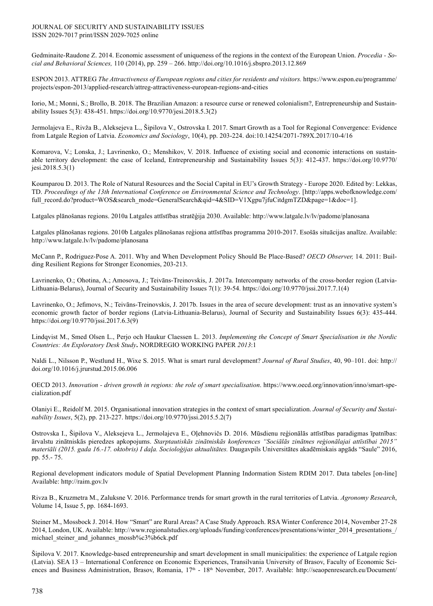Gedminaite-Raudone Z. 2014. Economic assessment of uniqueness of the regions in the context of the European Union. *Procedia - Social and Behavioral Sciences,* 110 (2014), pp. 259 – 266. http://doi.org/10.1016/j.sbspro.2013.12.869

ESPON 2013. ATTREG *The Attractiveness of European regions and cities for residents and visitors.* https://www.espon.eu/programme/ projects/espon-2013/applied-research/attreg-attractiveness-european-regions-and-cities

Iorio, M.; Monni, S.; Brollo, B. 2018. The Brazilian Amazon: a resource curse or renewed colonialism?, Entrepreneurship and Sustainability Issues 5(3): 438-451. https://doi.org/10.9770/jesi.2018.5.3(2)

Jermolajeva E., Rivža B., Aleksejeva L., Šipilova V., Ostrovska I. 2017. Smart Growth as a Tool for Regional Convergence: Evidence from Latgale Region of Latvia. *Economics and Sociology*, 10(4), pp. 203-224. doi:10.14254/2071-789X.2017/10-4/16

Komarova, V.; Lonska, J.; Lavrinenko, O.; Menshikov, V. 2018. Influence of existing social and economic interactions on sustainable territory development: the case of Iceland, Entrepreneurship and Sustainability Issues 5(3): 412-437. https://doi.org/10.9770/ jesi.2018.5.3(1)

Koumparou D. 2013. The Role of Natural Resources and the Social Capital in EU's Growth Strategy - Europe 2020. Edited by: Lekkas, TD. *Proceedings of the 13th International Conference on Environmental Science and Technology*. [http://apps.webofknowledge.com/ full\_record.do?product=WOS&search\_mode=GeneralSearch&qid=4&SID=V1Xgpu7jfuCitdgmTZD&page=1&doc=1].

Latgales plānošanas regions. 2010a Latgales attīstības stratēģija 2030. Available: http://www.latgale.lv/lv/padome/planosana

Latgales plānošanas regions. 2010b Latgales plānošanas reģiona attīstības programma 2010-2017. Esošās situācijas analīze. Available: http://www.latgale.lv/lv/padome/planosana

McCann P., Rodriguez-Pose A. 2011. Why and When Development Policy Should Be Place-Based? *OECD Observer,* 14. 2011: Building Resilient Regions for Stronger Economies, 203-213.

Lavrinenko, O.; Ohotina, A.; Amosova, J.; Teivāns-Treinovskis, J. 2017a. Intercompany networks of the cross-border region (Latvia-Lithuania-Belarus), Journal of Security and Sustainability Issues 7(1): 39-54. https://doi.org/10.9770/jssi.2017.7.1(4)

Lavrinenko, O.; Jefimovs, N.; Teivāns-Treinovskis, J. 2017b. Issues in the area of secure development: trust as an innovative system's economic growth factor of border regions (Latvia-Lithuania-Belarus), Journal of Security and Sustainability Issues 6(3): 435-444. https://doi.org/10.9770/jssi.2017.6.3(9)

Lindqvist M., Smed Olsen L., Perjo och Haukur Claessen L. 2013. *Implementing the Concept of Smart Specialisation in the Nordic Countries: An Exploratory Desk Study***.** NORDREGIO WORKING PAPER *2013*:1

Naldi L., Nilsson P., Westlund H., Wixe S. 2015. What is smart rural development? *Journal of Rural Studies*, 40, 90–101. doi: http:// doi.org/10.1016/j.jrurstud.2015.06.006

OECD 2013. *Innovation - driven growth in regions: the role of smart specialisation*. https://www.oecd.org/innovation/inno/smart-specialization.pdf

Olaniyi E., Reidolf M. 2015. Organisational innovation strategies in the context of smart specialization. *Journal of Security and Sustainability Issues*, 5(2), pp. 213-227. https://doi.org/10.9770/jssi.2015.5.2(7)

Ostrovska I., Šipilova V., Aleksejeva L., Jermolajeva E., Oļehnovičs D. 2016. Mūsdienu reģionālās attīstības paradigmas īpatnības: ārvalstu zinātniskās pieredzes apkopojums. *Starptautiskās zinātniskās konferences "Sociālās zinātnes reģionālajai attīstībai 2015" materiāli (2015. gada 16.-17. oktobris) I daļa. Socioloģijas aktualitātes.* Daugavpils Universitātes akadēmiskais apgāds "Saule" 2016, pp. 55.- 75.

Regional development indicators module of Spatial Development Planning Indormation Sistem RDIM 2017. Data tabeles [on-line] Available: http://raim.gov.lv

Rivza B., Kruzmetra M., Zaluksne V. 2016. Performance trends for smart growth in the rural territories of Latvia. *Agronomy Research*, Volume 14, Issue 5, pp. 1684-1693.

Steiner M., Mossbock J. 2014. How "Smart" are Rural Areas? A Case Study Approach. RSA Winter Conference 2014, November 27-28 2014, London, UK. Available: http://www.regionalstudies.org/uploads/funding/conferences/presentations/winter\_2014\_presentations / michael steiner and johannes mossb%c3%b6ck.pdf

Šipilova V. 2017. Knowledge-based entrepreneurship and smart development in small municipalities: the experience of Latgale region (Latvia). SEA 13 – International Conference on Economic Experiences, Transilvania University of Brasov, Faculty of Economic Sciences and Business Administration, Brasov, Romania, 17<sup>th</sup> - 18<sup>th</sup> November, 2017. Available: http://seaopenresearch.eu/Document/